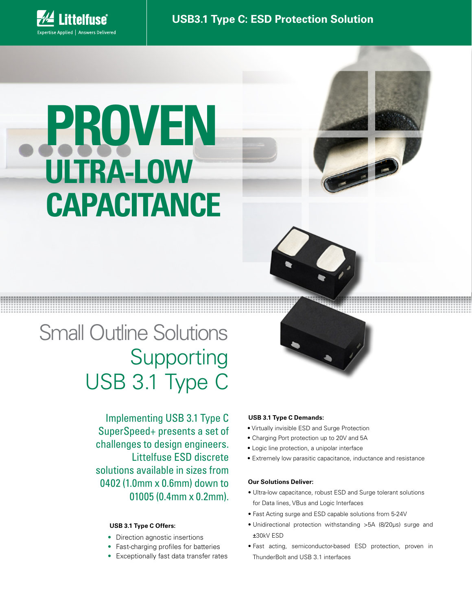

# **PROVEN ULTRA-LOW CAPACITANCE**



## Small Outline Solutions Supporting USB 3.1 Type C

Implementing USB 3.1 Type C SuperSpeed+ presents a set of challenges to design engineers. Littelfuse ESD discrete solutions available in sizes from 0402 (1.0mm x 0.6mm) down to 01005 (0.4mm x 0.2mm).

#### **USB 3.1 Type C Offers:**

- Direction agnostic insertions
- Fast-charging profiles for batteries
- Exceptionally fast data transfer rates

#### **USB 3.1 Type C Demands:**

- Virtually invisible ESD and Surge Protection
- Charging Port protection up to 20V and 5A
- Logic line protection, a unipolar interface
- Extremely low parasitic capacitance, inductance and resistance

#### **Our Solutions Deliver:**

- Ultra-low capacitance, robust ESD and Surge tolerant solutions for Data lines, VBus and Logic Interfaces
- Fast Acting surge and ESD capable solutions from 5-24V
- Unidirectional protection withstanding >5A (8/20µs) surge and ±30kV ESD
- Fast acting, semiconductor-based ESD protection, proven in ThunderBolt and USB 3.1 interfaces